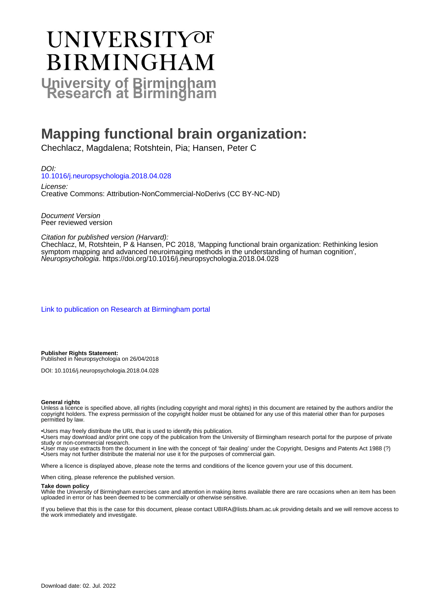# UNIVERSITYOF **BIRMINGHAM University of Birmingham**

# **Mapping functional brain organization:**

Chechlacz, Magdalena; Rotshtein, Pia; Hansen, Peter C

DOI: [10.1016/j.neuropsychologia.2018.04.028](https://doi.org/10.1016/j.neuropsychologia.2018.04.028)

License: Creative Commons: Attribution-NonCommercial-NoDerivs (CC BY-NC-ND)

Document Version Peer reviewed version

Citation for published version (Harvard):

Chechlacz, M, Rotshtein, P & Hansen, PC 2018, 'Mapping functional brain organization: Rethinking lesion symptom mapping and advanced neuroimaging methods in the understanding of human cognition', Neuropsychologia. <https://doi.org/10.1016/j.neuropsychologia.2018.04.028>

[Link to publication on Research at Birmingham portal](https://birmingham.elsevierpure.com/en/publications/27c95f83-da74-4bdd-82bc-64ec42bc044e)

**Publisher Rights Statement:** Published in Neuropsychologia on 26/04/2018

DOI: 10.1016/j.neuropsychologia.2018.04.028

#### **General rights**

Unless a licence is specified above, all rights (including copyright and moral rights) in this document are retained by the authors and/or the copyright holders. The express permission of the copyright holder must be obtained for any use of this material other than for purposes permitted by law.

• Users may freely distribute the URL that is used to identify this publication.

• Users may download and/or print one copy of the publication from the University of Birmingham research portal for the purpose of private study or non-commercial research.

• User may use extracts from the document in line with the concept of 'fair dealing' under the Copyright, Designs and Patents Act 1988 (?) • Users may not further distribute the material nor use it for the purposes of commercial gain.

Where a licence is displayed above, please note the terms and conditions of the licence govern your use of this document.

When citing, please reference the published version.

#### **Take down policy**

While the University of Birmingham exercises care and attention in making items available there are rare occasions when an item has been uploaded in error or has been deemed to be commercially or otherwise sensitive.

If you believe that this is the case for this document, please contact UBIRA@lists.bham.ac.uk providing details and we will remove access to the work immediately and investigate.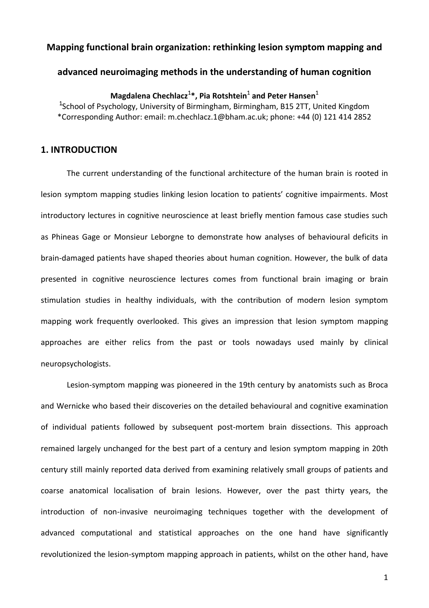#### **Mapping functional brain organization: rethinking lesion symptom mapping and**

#### **advanced neuroimaging methods in the understanding of human cognition**

**Magdalena Chechlacz**<sup>1</sup> **\*, Pia Rotshtein**<sup>1</sup> **and Peter Hansen**<sup>1</sup>

<sup>1</sup>School of Psychology, University of Birmingham, Birmingham, B15 2TT, United Kingdom \*Corresponding Author: email: m.chechlacz.1@bham.ac.uk; phone: +44 (0) 121 414 2852

#### **1. INTRODUCTION**

The current understanding of the functional architecture of the human brain is rooted in lesion symptom mapping studies linking lesion location to patients' cognitive impairments. Most introductory lectures in cognitive neuroscience at least briefly mention famous case studies such as Phineas Gage or Monsieur Leborgne to demonstrate how analyses of behavioural deficits in brain-damaged patients have shaped theories about human cognition. However, the bulk of data presented in cognitive neuroscience lectures comes from functional brain imaging or brain stimulation studies in healthy individuals, with the contribution of modern lesion symptom mapping work frequently overlooked. This gives an impression that lesion symptom mapping approaches are either relics from the past or tools nowadays used mainly by clinical neuropsychologists.

Lesion-symptom mapping was pioneered in the 19th century by anatomists such as Broca and Wernicke who based their discoveries on the detailed behavioural and cognitive examination of individual patients followed by subsequent post-mortem brain dissections. This approach remained largely unchanged for the best part of a century and lesion symptom mapping in 20th century still mainly reported data derived from examining relatively small groups of patients and coarse anatomical localisation of brain lesions. However, over the past thirty years, the introduction of non-invasive neuroimaging techniques together with the development of advanced computational and statistical approaches on the one hand have significantly revolutionized the lesion-symptom mapping approach in patients, whilst on the other hand, have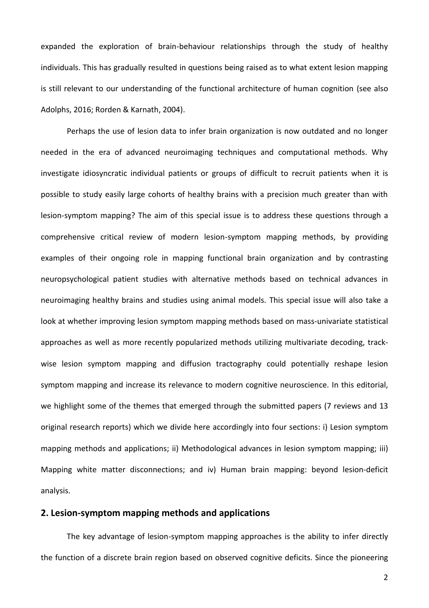expanded the exploration of brain-behaviour relationships through the study of healthy individuals. This has gradually resulted in questions being raised as to what extent lesion mapping is still relevant to our understanding of the functional architecture of human cognition (see also Adolphs, 2016; Rorden & Karnath, 2004).

Perhaps the use of lesion data to infer brain organization is now outdated and no longer needed in the era of advanced neuroimaging techniques and computational methods. Why investigate idiosyncratic individual patients or groups of difficult to recruit patients when it is possible to study easily large cohorts of healthy brains with a precision much greater than with lesion-symptom mapping? The aim of this special issue is to address these questions through a comprehensive critical review of modern lesion-symptom mapping methods, by providing examples of their ongoing role in mapping functional brain organization and by contrasting neuropsychological patient studies with alternative methods based on technical advances in neuroimaging healthy brains and studies using animal models. This special issue will also take a look at whether improving lesion symptom mapping methods based on mass-univariate statistical approaches as well as more recently popularized methods utilizing multivariate decoding, trackwise lesion symptom mapping and diffusion tractography could potentially reshape lesion symptom mapping and increase its relevance to modern cognitive neuroscience. In this editorial, we highlight some of the themes that emerged through the submitted papers (7 reviews and 13 original research reports) which we divide here accordingly into four sections: i) Lesion symptom mapping methods and applications; ii) Methodological advances in lesion symptom mapping; iii) Mapping white matter disconnections; and iv) Human brain mapping: beyond lesion-deficit analysis.

#### **2. Lesion-symptom mapping methods and applications**

The key advantage of lesion-symptom mapping approaches is the ability to infer directly the function of a discrete brain region based on observed cognitive deficits. Since the pioneering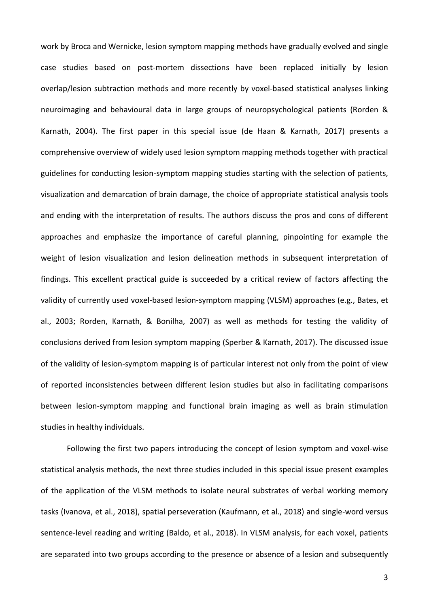work by Broca and Wernicke, lesion symptom mapping methods have gradually evolved and single case studies based on post-mortem dissections have been replaced initially by lesion overlap/lesion subtraction methods and more recently by voxel-based statistical analyses linking neuroimaging and behavioural data in large groups of neuropsychological patients (Rorden & Karnath, 2004). The first paper in this special issue (de Haan & Karnath, 2017) presents a comprehensive overview of widely used lesion symptom mapping methods together with practical guidelines for conducting lesion-symptom mapping studies starting with the selection of patients, visualization and demarcation of brain damage, the choice of appropriate statistical analysis tools and ending with the interpretation of results. The authors discuss the pros and cons of different approaches and emphasize the importance of careful planning, pinpointing for example the weight of lesion visualization and lesion delineation methods in subsequent interpretation of findings. This excellent practical guide is succeeded by a critical review of factors affecting the validity of currently used voxel-based lesion-symptom mapping (VLSM) approaches (e.g., Bates, et al., 2003; Rorden, Karnath, & Bonilha, 2007) as well as methods for testing the validity of conclusions derived from lesion symptom mapping (Sperber & Karnath, 2017). The discussed issue of the validity of lesion-symptom mapping is of particular interest not only from the point of view of reported inconsistencies between different lesion studies but also in facilitating comparisons between lesion-symptom mapping and functional brain imaging as well as brain stimulation studies in healthy individuals.

Following the first two papers introducing the concept of lesion symptom and voxel-wise statistical analysis methods, the next three studies included in this special issue present examples of the application of the VLSM methods to isolate neural substrates of verbal working memory tasks (Ivanova, et al., 2018), spatial perseveration (Kaufmann, et al., 2018) and single-word versus sentence-level reading and writing (Baldo, et al., 2018). In VLSM analysis, for each voxel, patients are separated into two groups according to the presence or absence of a lesion and subsequently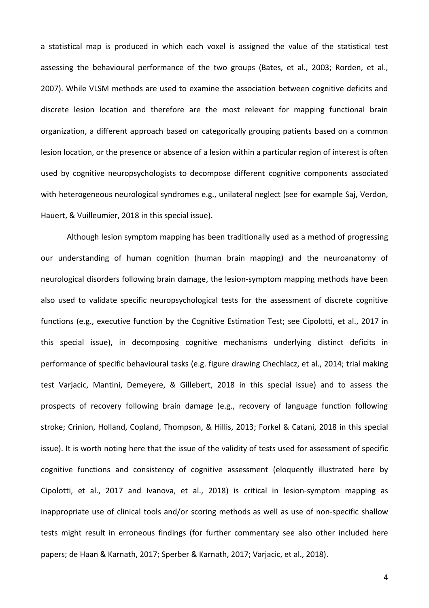a statistical map is produced in which each voxel is assigned the value of the statistical test assessing the behavioural performance of the two groups (Bates, et al., 2003; Rorden, et al., 2007). While VLSM methods are used to examine the association between cognitive deficits and discrete lesion location and therefore are the most relevant for mapping functional brain organization, a different approach based on categorically grouping patients based on a common lesion location, or the presence or absence of a lesion within a particular region of interest is often used by cognitive neuropsychologists to decompose different cognitive components associated with heterogeneous neurological syndromes e.g., unilateral neglect (see for example Saj, Verdon, Hauert, & Vuilleumier, 2018 in this special issue).

Although lesion symptom mapping has been traditionally used as a method of progressing our understanding of human cognition (human brain mapping) and the neuroanatomy of neurological disorders following brain damage, the lesion-symptom mapping methods have been also used to validate specific neuropsychological tests for the assessment of discrete cognitive functions (e.g., executive function by the Cognitive Estimation Test; see Cipolotti, et al., 2017 in this special issue), in decomposing cognitive mechanisms underlying distinct deficits in performance of specific behavioural tasks (e.g. figure drawing Chechlacz, et al., 2014; trial making test Varjacic, Mantini, Demeyere, & Gillebert, 2018 in this special issue) and to assess the prospects of recovery following brain damage (e.g., recovery of language function following stroke; Crinion, Holland, Copland, Thompson, & Hillis, 2013; Forkel & Catani, 2018 in this special issue). It is worth noting here that the issue of the validity of tests used for assessment of specific cognitive functions and consistency of cognitive assessment (eloquently illustrated here by Cipolotti, et al., 2017 and Ivanova, et al., 2018) is critical in lesion-symptom mapping as inappropriate use of clinical tools and/or scoring methods as well as use of non-specific shallow tests might result in erroneous findings (for further commentary see also other included here papers; de Haan & Karnath, 2017; Sperber & Karnath, 2017; Varjacic, et al., 2018).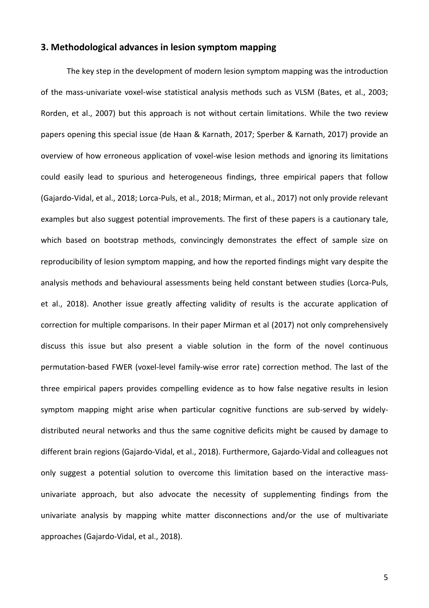## **3. Methodological advances in lesion symptom mapping**

The key step in the development of modern lesion symptom mapping was the introduction of the mass-univariate voxel-wise statistical analysis methods such as VLSM (Bates, et al., 2003; Rorden, et al., 2007) but this approach is not without certain limitations. While the two review papers opening this special issue (de Haan & Karnath, 2017; Sperber & Karnath, 2017) provide an overview of how erroneous application of voxel-wise lesion methods and ignoring its limitations could easily lead to spurious and heterogeneous findings, three empirical papers that follow (Gajardo-Vidal, et al., 2018; Lorca-Puls, et al., 2018; Mirman, et al., 2017) not only provide relevant examples but also suggest potential improvements. The first of these papers is a cautionary tale, which based on bootstrap methods, convincingly demonstrates the effect of sample size on reproducibility of lesion symptom mapping, and how the reported findings might vary despite the analysis methods and behavioural assessments being held constant between studies (Lorca-Puls, et al., 2018). Another issue greatly affecting validity of results is the accurate application of correction for multiple comparisons. In their paper Mirman et al (2017) not only comprehensively discuss this issue but also present a viable solution in the form of the novel continuous permutation-based FWER (voxel-level family-wise error rate) correction method. The last of the three empirical papers provides compelling evidence as to how false negative results in lesion symptom mapping might arise when particular cognitive functions are sub-served by widelydistributed neural networks and thus the same cognitive deficits might be caused by damage to different brain regions (Gajardo-Vidal, et al., 2018). Furthermore, Gajardo-Vidal and colleagues not only suggest a potential solution to overcome this limitation based on the interactive massunivariate approach, but also advocate the necessity of supplementing findings from the univariate analysis by mapping white matter disconnections and/or the use of multivariate approaches (Gajardo-Vidal, et al., 2018).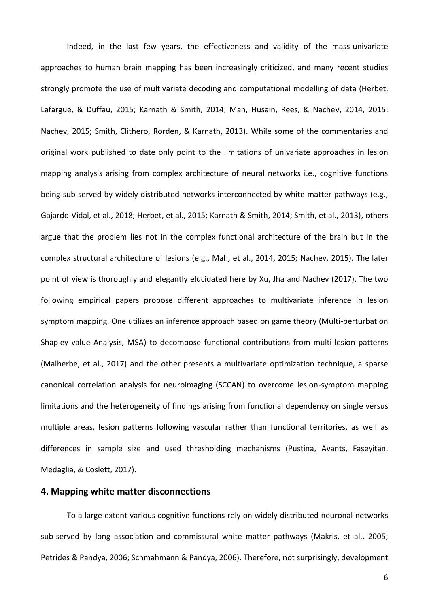Indeed, in the last few years, the effectiveness and validity of the mass-univariate approaches to human brain mapping has been increasingly criticized, and many recent studies strongly promote the use of multivariate decoding and computational modelling of data (Herbet, Lafargue, & Duffau, 2015; Karnath & Smith, 2014; Mah, Husain, Rees, & Nachev, 2014, 2015; Nachev, 2015; Smith, Clithero, Rorden, & Karnath, 2013). While some of the commentaries and original work published to date only point to the limitations of univariate approaches in lesion mapping analysis arising from complex architecture of neural networks i.e., cognitive functions being sub-served by widely distributed networks interconnected by white matter pathways (e.g., Gajardo-Vidal, et al., 2018; Herbet, et al., 2015; Karnath & Smith, 2014; Smith, et al., 2013), others argue that the problem lies not in the complex functional architecture of the brain but in the complex structural architecture of lesions (e.g., Mah, et al., 2014, 2015; Nachev, 2015). The later point of view is thoroughly and elegantly elucidated here by Xu, Jha and Nachev (2017). The two following empirical papers propose different approaches to multivariate inference in lesion symptom mapping. One utilizes an inference approach based on game theory (Multi-perturbation Shapley value Analysis, MSA) to decompose functional contributions from multi-lesion patterns (Malherbe, et al., 2017) and the other presents a multivariate optimization technique, a sparse canonical correlation analysis for neuroimaging (SCCAN) to overcome lesion-symptom mapping limitations and the heterogeneity of findings arising from functional dependency on single versus multiple areas, lesion patterns following vascular rather than functional territories, as well as differences in sample size and used thresholding mechanisms (Pustina, Avants, Faseyitan, Medaglia, & Coslett, 2017).

### **4. Mapping white matter disconnections**

To a large extent various cognitive functions rely on widely distributed neuronal networks sub-served by long association and commissural white matter pathways (Makris, et al., 2005; Petrides & Pandya, 2006; Schmahmann & Pandya, 2006). Therefore, not surprisingly, development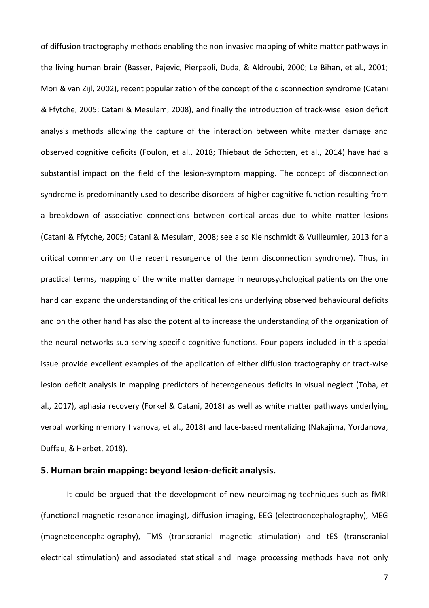of diffusion tractography methods enabling the non-invasive mapping of white matter pathways in the living human brain (Basser, Pajevic, Pierpaoli, Duda, & Aldroubi, 2000; Le Bihan, et al., 2001; Mori & van Zijl, 2002), recent popularization of the concept of the disconnection syndrome (Catani & Ffytche, 2005; Catani & Mesulam, 2008), and finally the introduction of track-wise lesion deficit analysis methods allowing the capture of the interaction between white matter damage and observed cognitive deficits (Foulon, et al., 2018; Thiebaut de Schotten, et al., 2014) have had a substantial impact on the field of the lesion-symptom mapping. The concept of disconnection syndrome is predominantly used to describe disorders of higher cognitive function resulting from a breakdown of associative connections between cortical areas due to white matter lesions (Catani & Ffytche, 2005; Catani & Mesulam, 2008; see also Kleinschmidt & Vuilleumier, 2013 for a critical commentary on the recent resurgence of the term disconnection syndrome). Thus, in practical terms, mapping of the white matter damage in neuropsychological patients on the one hand can expand the understanding of the critical lesions underlying observed behavioural deficits and on the other hand has also the potential to increase the understanding of the organization of the neural networks sub-serving specific cognitive functions. Four papers included in this special issue provide excellent examples of the application of either diffusion tractography or tract-wise lesion deficit analysis in mapping predictors of heterogeneous deficits in visual neglect (Toba, et al., 2017), aphasia recovery (Forkel & Catani, 2018) as well as white matter pathways underlying verbal working memory (Ivanova, et al., 2018) and face-based mentalizing (Nakajima, Yordanova, Duffau, & Herbet, 2018).

#### **5. Human brain mapping: beyond lesion-deficit analysis.**

It could be argued that the development of new neuroimaging techniques such as fMRI (functional magnetic resonance imaging), diffusion imaging, EEG (electroencephalography), MEG (magnetoencephalography), TMS (transcranial magnetic stimulation) and tES (transcranial electrical stimulation) and associated statistical and image processing methods have not only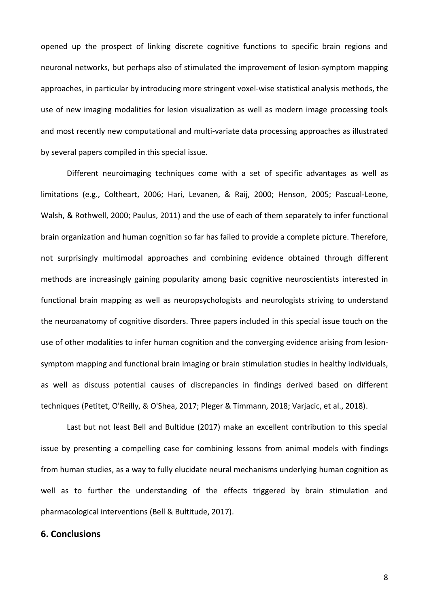opened up the prospect of linking discrete cognitive functions to specific brain regions and neuronal networks, but perhaps also of stimulated the improvement of lesion-symptom mapping approaches, in particular by introducing more stringent voxel-wise statistical analysis methods, the use of new imaging modalities for lesion visualization as well as modern image processing tools and most recently new computational and multi-variate data processing approaches as illustrated by several papers compiled in this special issue.

Different neuroimaging techniques come with a set of specific advantages as well as limitations (e.g., Coltheart, 2006; Hari, Levanen, & Raij, 2000; Henson, 2005; Pascual-Leone, Walsh, & Rothwell, 2000; Paulus, 2011) and the use of each of them separately to infer functional brain organization and human cognition so far has failed to provide a complete picture. Therefore, not surprisingly multimodal approaches and combining evidence obtained through different methods are increasingly gaining popularity among basic cognitive neuroscientists interested in functional brain mapping as well as neuropsychologists and neurologists striving to understand the neuroanatomy of cognitive disorders. Three papers included in this special issue touch on the use of other modalities to infer human cognition and the converging evidence arising from lesionsymptom mapping and functional brain imaging or brain stimulation studies in healthy individuals, as well as discuss potential causes of discrepancies in findings derived based on different techniques (Petitet, O'Reilly, & O'Shea, 2017; Pleger & Timmann, 2018; Varjacic, et al., 2018).

Last but not least Bell and Bultidue (2017) make an excellent contribution to this special issue by presenting a compelling case for combining lessons from animal models with findings from human studies, as a way to fully elucidate neural mechanisms underlying human cognition as well as to further the understanding of the effects triggered by brain stimulation and pharmacological interventions (Bell & Bultitude, 2017).

### **6. Conclusions**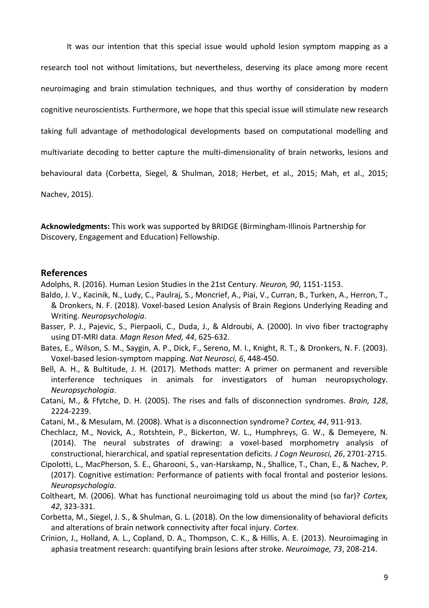It was our intention that this special issue would uphold lesion symptom mapping as a

research tool not without limitations, but nevertheless, deserving its place among more recent

neuroimaging and brain stimulation techniques, and thus worthy of consideration by modern

cognitive neuroscientists. Furthermore, we hope that this special issue will stimulate new research

taking full advantage of methodological developments based on computational modelling and

multivariate decoding to better capture the multi-dimensionality of brain networks, lesions and

behavioural data (Corbetta, Siegel, & Shulman, 2018; Herbet, et al., 2015; Mah, et al., 2015;

Nachev, 2015).

**Acknowledgments:** This work was supported by BRIDGE (Birmingham-Illinois Partnership for Discovery, Engagement and Education) Fellowship.

#### **References**

Adolphs, R. (2016). Human Lesion Studies in the 21st Century. *Neuron, 90*, 1151-1153.

- Baldo, J. V., Kacinik, N., Ludy, C., Paulraj, S., Moncrief, A., Piai, V., Curran, B., Turken, A., Herron, T., & Dronkers, N. F. (2018). Voxel-based Lesion Analysis of Brain Regions Underlying Reading and Writing. *Neuropsychologia*.
- Basser, P. J., Pajevic, S., Pierpaoli, C., Duda, J., & Aldroubi, A. (2000). In vivo fiber tractography using DT-MRI data. *Magn Reson Med, 44*, 625-632.
- Bates, E., Wilson, S. M., Saygin, A. P., Dick, F., Sereno, M. I., Knight, R. T., & Dronkers, N. F. (2003). Voxel-based lesion-symptom mapping. *Nat Neurosci, 6*, 448-450.
- Bell, A. H., & Bultitude, J. H. (2017). Methods matter: A primer on permanent and reversible interference techniques in animals for investigators of human neuropsychology. *Neuropsychologia*.
- Catani, M., & Ffytche, D. H. (2005). The rises and falls of disconnection syndromes. *Brain, 128*, 2224-2239.

Catani, M., & Mesulam, M. (2008). What is a disconnection syndrome? *Cortex, 44*, 911-913.

- Chechlacz, M., Novick, A., Rotshtein, P., Bickerton, W. L., Humphreys, G. W., & Demeyere, N. (2014). The neural substrates of drawing: a voxel-based morphometry analysis of constructional, hierarchical, and spatial representation deficits. *J Cogn Neurosci, 26*, 2701-2715.
- Cipolotti, L., MacPherson, S. E., Gharooni, S., van-Harskamp, N., Shallice, T., Chan, E., & Nachev, P. (2017). Cognitive estimation: Performance of patients with focal frontal and posterior lesions. *Neuropsychologia*.
- Coltheart, M. (2006). What has functional neuroimaging told us about the mind (so far)? *Cortex, 42*, 323-331.
- Corbetta, M., Siegel, J. S., & Shulman, G. L. (2018). On the low dimensionality of behavioral deficits and alterations of brain network connectivity after focal injury. *Cortex*.
- Crinion, J., Holland, A. L., Copland, D. A., Thompson, C. K., & Hillis, A. E. (2013). Neuroimaging in aphasia treatment research: quantifying brain lesions after stroke. *Neuroimage, 73*, 208-214.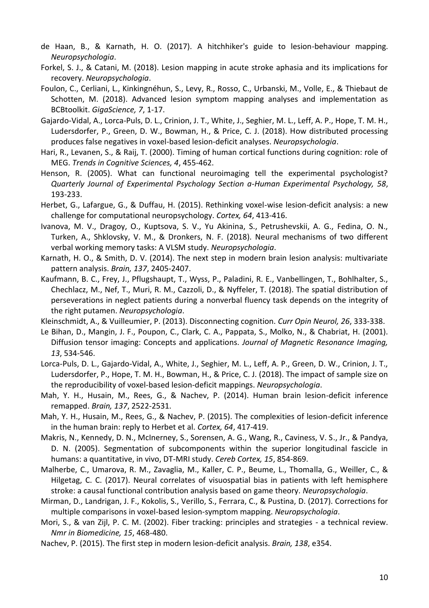- de Haan, B., & Karnath, H. O. (2017). A hitchhiker's guide to lesion-behaviour mapping. *Neuropsychologia*.
- Forkel, S. J., & Catani, M. (2018). Lesion mapping in acute stroke aphasia and its implications for recovery. *Neuropsychologia*.
- Foulon, C., Cerliani, L., Kinkingnéhun, S., Levy, R., Rosso, C., Urbanski, M., Volle, E., & Thiebaut de Schotten, M. (2018). Advanced lesion symptom mapping analyses and implementation as BCBtoolkit. *GigaScience, 7*, 1-17.
- Gajardo-Vidal, A., Lorca-Puls, D. L., Crinion, J. T., White, J., Seghier, M. L., Leff, A. P., Hope, T. M. H., Ludersdorfer, P., Green, D. W., Bowman, H., & Price, C. J. (2018). How distributed processing produces false negatives in voxel-based lesion-deficit analyses. *Neuropsychologia*.
- Hari, R., Levanen, S., & Raij, T. (2000). Timing of human cortical functions during cognition: role of MEG. *Trends in Cognitive Sciences, 4*, 455-462.
- Henson, R. (2005). What can functional neuroimaging tell the experimental psychologist? *Quarterly Journal of Experimental Psychology Section a-Human Experimental Psychology, 58*, 193-233.
- Herbet, G., Lafargue, G., & Duffau, H. (2015). Rethinking voxel-wise lesion-deficit analysis: a new challenge for computational neuropsychology. *Cortex, 64*, 413-416.
- Ivanova, M. V., Dragoy, O., Kuptsova, S. V., Yu Akinina, S., Petrushevskii, A. G., Fedina, O. N., Turken, A., Shklovsky, V. M., & Dronkers, N. F. (2018). Neural mechanisms of two different verbal working memory tasks: A VLSM study. *Neuropsychologia*.
- Karnath, H. O., & Smith, D. V. (2014). The next step in modern brain lesion analysis: multivariate pattern analysis. *Brain, 137*, 2405-2407.
- Kaufmann, B. C., Frey, J., Pflugshaupt, T., Wyss, P., Paladini, R. E., Vanbellingen, T., Bohlhalter, S., Chechlacz, M., Nef, T., Muri, R. M., Cazzoli, D., & Nyffeler, T. (2018). The spatial distribution of perseverations in neglect patients during a nonverbal fluency task depends on the integrity of the right putamen. *Neuropsychologia*.
- Kleinschmidt, A., & Vuilleumier, P. (2013). Disconnecting cognition. *Curr Opin Neurol, 26*, 333-338.
- Le Bihan, D., Mangin, J. F., Poupon, C., Clark, C. A., Pappata, S., Molko, N., & Chabriat, H. (2001). Diffusion tensor imaging: Concepts and applications. *Journal of Magnetic Resonance Imaging, 13*, 534-546.
- Lorca-Puls, D. L., Gajardo-Vidal, A., White, J., Seghier, M. L., Leff, A. P., Green, D. W., Crinion, J. T., Ludersdorfer, P., Hope, T. M. H., Bowman, H., & Price, C. J. (2018). The impact of sample size on the reproducibility of voxel-based lesion-deficit mappings. *Neuropsychologia*.
- Mah, Y. H., Husain, M., Rees, G., & Nachev, P. (2014). Human brain lesion-deficit inference remapped. *Brain, 137*, 2522-2531.
- Mah, Y. H., Husain, M., Rees, G., & Nachev, P. (2015). The complexities of lesion-deficit inference in the human brain: reply to Herbet et al. *Cortex, 64*, 417-419.
- Makris, N., Kennedy, D. N., McInerney, S., Sorensen, A. G., Wang, R., Caviness, V. S., Jr., & Pandya, D. N. (2005). Segmentation of subcomponents within the superior longitudinal fascicle in humans: a quantitative, in vivo, DT-MRI study. *Cereb Cortex, 15*, 854-869.
- Malherbe, C., Umarova, R. M., Zavaglia, M., Kaller, C. P., Beume, L., Thomalla, G., Weiller, C., & Hilgetag, C. C. (2017). Neural correlates of visuospatial bias in patients with left hemisphere stroke: a causal functional contribution analysis based on game theory. *Neuropsychologia*.
- Mirman, D., Landrigan, J. F., Kokolis, S., Verillo, S., Ferrara, C., & Pustina, D. (2017). Corrections for multiple comparisons in voxel-based lesion-symptom mapping. *Neuropsychologia*.
- Mori, S., & van Zijl, P. C. M. (2002). Fiber tracking: principles and strategies a technical review. *Nmr in Biomedicine, 15*, 468-480.
- Nachev, P. (2015). The first step in modern lesion-deficit analysis. *Brain, 138*, e354.